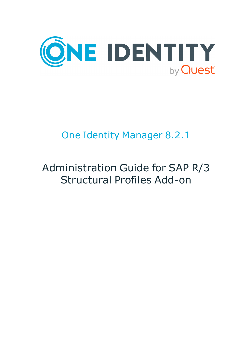

# One Identity Manager 8.2.1

# Administration Guide for SAP R/3 Structural Profiles Add-on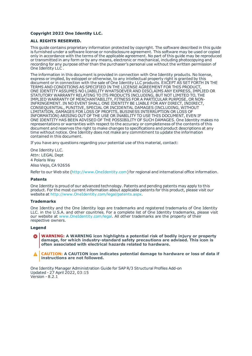#### **Copyright 2022 One Identity LLC.**

#### **ALL RIGHTS RESERVED.**

This guide contains proprietary information protected by copyright. The software described in this guide is furnished under a software license or nondisclosure agreement. This software may be used or copied only in accordance with the terms of the applicable agreement. No part of this guide may be reproduced or transmitted in any form or by any means, electronic or mechanical, including photocopying and recording for any purpose other than the purchaser's personal use without the written permission of One Identity LLC .

The information in this document is provided in connection with One Identity products. No license, express or implied, by estoppel or otherwise, to any intellectual property right is granted by this document or in connection with the sale of One Identity LLC products. EXCEPT AS SET FORTH IN THE TERMS AND CONDITIONS AS SPECIFIED IN THE LICENSE AGREEMENT FOR THIS PRODUCT, ONE IDENTITY ASSUMES NO LIABILITY WHATSOEVER AND DISCLAIMS ANY EXPRESS, IMPLIED OR STATUTORY WARRANTY RELATING TO ITS PRODUCTS INCLUDING, BUT NOT LIMITED TO, THE IMPLIED WARRANTY OF MERCHANTABILITY, FITNESS FOR A PARTICULAR PURPOSE, OR NON-INFRINGEMENT. IN NO EVENT SHALL ONE IDENTITY BE LIABLE FOR ANY DIRECT, INDIRECT, CONSEQUENTIAL, PUNITIVE, SPECIAL OR INCIDENTAL DAMAGES (INCLUDING, WITHOUT LIMITATION, DAMAGES FOR LOSS OF PROFITS, BUSINESS INTERRUPTION OR LOSS OF INFORMATION) ARISING OUT OF THE USE OR INABILITY TO USE THIS DOCUMENT, EVEN IF ONE IDENTITY HAS BEEN ADVISED OF THE POSSIBILITY OF SUCH DAMAGES. One Identity makes no representations or warranties with respect to the accuracy or completeness of the contents of this document and reserves the right to make changes to specifications and product descriptions at any time without notice. One Identity does not make any commitment to update the information contained in this document.

If you have any questions regarding your potential use of this material, contact:

One Identity LLC. Attn: LEGAL Dept 4 Polaris Way Aliso Viejo, CA 92656

Refer to our Web site ([http://www.OneIdentity.com](http://www.oneidentity.com/)) for regional and international office information.

#### **Patents**

One Identity is proud of our advanced technology. Patents and pending patents may apply to this product. For the most current information about applicable patents for this product, please visit our website at [http://www.OneIdentity.com/legal/patents.aspx](http://www.oneidentity.com/legal/patents.aspx).

#### **Trademarks**

One Identity and the One Identity logo are trademarks and registered trademarks of One Identity LLC. in the U.S.A. and other countries. For a complete list of One Identity trademarks, please visit our website at [www.OneIdentity.com/legal](http://www.oneidentity.com/legal). All other trademarks are the property of their respective owners.

#### **Legend**

**WARNING: A WARNING icon highlights a potential risk of bodily injury or property damage, for which industry-standard safety precautions are advised. This icon is often associated with electrical hazards related to hardware.**

**CAUTION: A CAUTION icon indicates potential damage to hardware or loss of data if** A **instructions are not followed.**

One Identity Manager Administration Guide for SAP R/3 Structural Profiles Add-on Updated - 27 April 2022, 03:15 Version - 8.2.1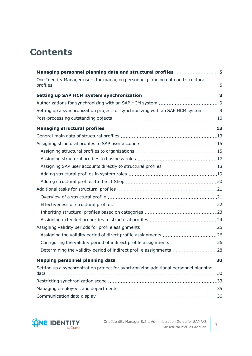## **Contents**

| Managing personnel planning data and structural profiles  5                          |  |
|--------------------------------------------------------------------------------------|--|
| One Identity Manager users for managing personnel planning data and structural       |  |
|                                                                                      |  |
|                                                                                      |  |
| Setting up a synchronization project for synchronizing with an SAP HCM system  9     |  |
|                                                                                      |  |
|                                                                                      |  |
|                                                                                      |  |
|                                                                                      |  |
|                                                                                      |  |
|                                                                                      |  |
|                                                                                      |  |
|                                                                                      |  |
|                                                                                      |  |
|                                                                                      |  |
|                                                                                      |  |
|                                                                                      |  |
|                                                                                      |  |
|                                                                                      |  |
|                                                                                      |  |
|                                                                                      |  |
|                                                                                      |  |
| Determining the validity period of indirect profile assignments 28                   |  |
|                                                                                      |  |
| Setting up a synchronization project for synchronizing additional personnel planning |  |
|                                                                                      |  |
|                                                                                      |  |
|                                                                                      |  |

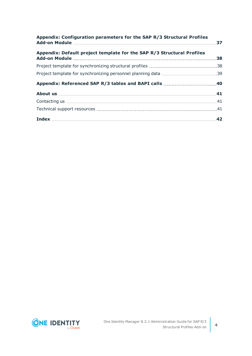| Appendix: Configuration parameters for the SAP R/3 Structural Profiles |  |
|------------------------------------------------------------------------|--|
| Appendix: Default project template for the SAP R/3 Structural Profiles |  |
|                                                                        |  |
|                                                                        |  |
|                                                                        |  |
|                                                                        |  |
|                                                                        |  |
|                                                                        |  |
|                                                                        |  |

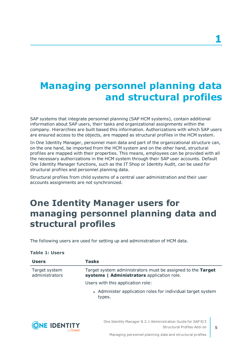# <span id="page-4-0"></span>**Managing personnel planning data and structural profiles**

SAP systems that integrate personnel planning (SAP HCM systems), contain additional information about SAP users, their tasks and organizational assignments within the company. Hierarchies are built based this information. Authorizations with which SAP users are ensured access to the objects, are mapped as structural profiles in the HCM system.

In One Identity Manager, personnel main data and part of the organizational structure can, on the one hand, be imported from the HCM system and on the other hand, structural profiles are mapped with their properties. This means, employees can be provided with all the necessary authorizations in the HCM system through their SAP user accounts. Default One Identity Manager functions, such as the IT Shop or Identity Audit, can be used for structural profiles and personnel planning data.

Structural profiles from child systems of a central user administration and their user accounts assignments are not synchronized.

## <span id="page-4-1"></span>**One Identity Manager users for managing personnel planning data and structural profiles**

The following users are used for setting up and administration of HCM data.

#### **Table 1: Users**

| <b>Users</b>                    | Tasks                                                                                                     |
|---------------------------------|-----------------------------------------------------------------------------------------------------------|
| Target system<br>administrators | Target system administrators must be assigned to the Target<br>systems   Administrators application role. |
|                                 | Users with this application role:                                                                         |
|                                 | • Administer application roles for individual target system<br>types.                                     |



**5**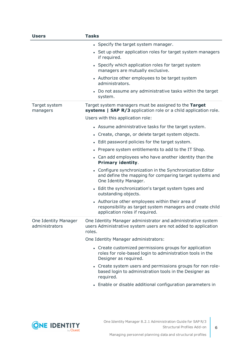| <b>Users</b>                           | <b>Tasks</b>                                                                                                                                                  |  |  |
|----------------------------------------|---------------------------------------------------------------------------------------------------------------------------------------------------------------|--|--|
|                                        | • Specify the target system manager.                                                                                                                          |  |  |
|                                        | • Set up other application roles for target system managers<br>if required.                                                                                   |  |  |
|                                        | • Specify which application roles for target system<br>managers are mutually exclusive.                                                                       |  |  |
|                                        | • Authorize other employees to be target system<br>administrators.                                                                                            |  |  |
|                                        | • Do not assume any administrative tasks within the target<br>system.                                                                                         |  |  |
| Target system<br>managers              | Target system managers must be assigned to the Target<br>systems   SAP R/3 application role or a child application role.<br>Users with this application role: |  |  |
|                                        |                                                                                                                                                               |  |  |
|                                        | • Assume administrative tasks for the target system.                                                                                                          |  |  |
|                                        | • Create, change, or delete target system objects.                                                                                                            |  |  |
|                                        | • Edit password policies for the target system.                                                                                                               |  |  |
|                                        | • Prepare system entitlements to add to the IT Shop.                                                                                                          |  |  |
|                                        | • Can add employees who have another identity than the<br><b>Primary identity.</b>                                                                            |  |  |
|                                        | • Configure synchronization in the Synchronization Editor<br>and define the mapping for comparing target systems and<br>One Identity Manager.                 |  |  |
|                                        | • Edit the synchronization's target system types and<br>outstanding objects.                                                                                  |  |  |
|                                        | • Authorize other employees within their area of<br>responsibility as target system managers and create child<br>application roles if required.               |  |  |
| One Identity Manager<br>administrators | One Identity Manager administrator and administrative system<br>users Administrative system users are not added to application<br>roles.                      |  |  |
|                                        | One Identity Manager administrators:                                                                                                                          |  |  |
|                                        | • Create customized permissions groups for application<br>roles for role-based login to administration tools in the<br>Designer as required.                  |  |  |
|                                        | • Create system users and permissions groups for non role-<br>based login to administration tools in the Designer as<br>required.                             |  |  |
|                                        | • Enable or disable additional configuration parameters in                                                                                                    |  |  |
|                                        |                                                                                                                                                               |  |  |



**6**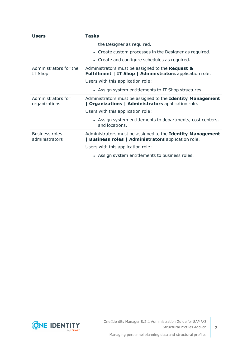| <b>Users</b>                            | Tasks                                                                                                                                                                                                                                      |  |
|-----------------------------------------|--------------------------------------------------------------------------------------------------------------------------------------------------------------------------------------------------------------------------------------------|--|
|                                         | the Designer as required.<br>• Create custom processes in the Designer as required.<br>• Create and configure schedules as required.                                                                                                       |  |
| Administrators for the<br>IT Shop       | Administrators must be assigned to the Request &<br>Fulfillment   IT Shop   Administrators application role.<br>Users with this application role:<br>• Assign system entitlements to IT Shop structures.                                   |  |
| Administrators for<br>organizations     | Administrators must be assigned to the Identity Management<br><b>Organizations   Administrators application role.</b><br>Users with this application role:<br>• Assign system entitlements to departments, cost centers,<br>and locations. |  |
| <b>Business roles</b><br>administrators | Administrators must be assigned to the Identity Management<br><b>Business roles   Administrators application role.</b><br>Users with this application role:<br>• Assign system entitlements to business roles.                             |  |

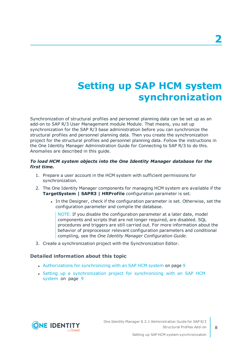# **Setting up SAP HCM system synchronization**

<span id="page-7-0"></span>Synchronization of structural profiles and personnel planning data can be set up as an add-on to SAP R/3 User Management module Module. That means, you set up synchronization for the SAP R/3 base administration before you can synchronize the structural profiles and personnel planning data. Then you create the synchronization project for the structural profiles and personnel planning data. Follow the instructions in the One Identity Manager Administration Guide for Connecting to SAP R/3 to do this. Anomalies are described in this guide.

### *To load HCM system objects into the One Identity Manager database for the first time.*

- 1. Prepare a user account in the HCM system with sufficient permissions for synchronization.
- 2. The One Identity Manager components for managing HCM system are available if the **TargetSystem | SAPR3 | HRProfile** configuration parameter is set.
	- In the Designer, check if the configuration parameter is set. Otherwise, set the configuration parameter and compile the database.

NOTE: If you disable the configuration parameter at a later date, model components and scripts that are not longer required, are disabled. SQL procedures and triggers are still carried out. For more information about the behavior of preprocessor relevant configuration parameters and conditional compiling, see the *One Identity Manager Configuration Guide*.

3. Create a synchronization project with the Synchronization Editor.

### **Detailed information about this topic**

- [Authorizations](#page-8-0) for synchronizing with an SAP HCM system on page 9
- Setting up a [synchronization](#page-8-1) project for synchronizing with an SAP HCM [system](#page-8-1) on page 9

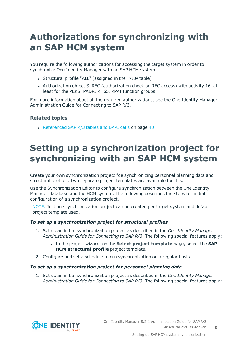## <span id="page-8-0"></span>**Authorizations for synchronizing with an SAP HCM system**

You require the following authorizations for accessing the target system in order to synchronize One Identity Manager with an SAP HCM system.

- Structural profile "ALL" (assigned in the T77UA table)
- Authorization object S\_RFC (authorization check on RFC access) with activity 16, at least for the PERS, PADR, RH65, RPAI function groups.

For more information about all the required authorizations, see the One Identity Manager Administration Guide for Connecting to SAP R/3.

### **Related topics**

• [Referenced](#page-39-0) SAP R/3 tables and BAPI calls on page 40

## <span id="page-8-1"></span>**Setting up a synchronization project for synchronizing with an SAP HCM system**

Create your own synchronization project foe synchronizing personnel planning data and structural profiles. Two separate project templates are available for this.

Use the Synchronization Editor to configure synchronization between the One Identity Manager database and the HCM system. The following describes the steps for initial configuration of a synchronization project.

NOTE: Just one synchronization project can be created per target system and default project template used.

### *To set up a synchronization project for structural profiles*

- 1. Set up an initial synchronization project as described in the *One Identity Manager Administration Guide for Connecting to SAP R/3*. The following special features apply:
	- <sup>l</sup> In the project wizard, on the **Select project template** page, select the **SAP HCM structural profile** project template.
- 2. Configure and set a schedule to run synchronization on a regular basis.

#### *To set up a synchronization project for personnel planning data*

1. Set up an initial synchronization project as described in the *One Identity Manager Administration Guide for Connecting to SAP R/3*. The following special features apply:

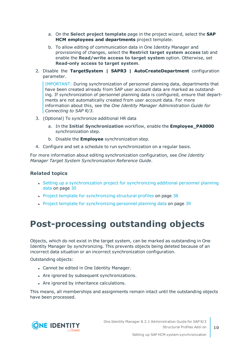- a. On the **Select project template** page in the project wizard, select the **SAP HCM employees and departments** project template.
- b. To allow editing of communication data in One Identity Manager and provisioning of changes, select the **Restrict target system access** tab and enable the **Read/write access to target system** option. Otherwise, set **Read-only access to target system**.
- 2. Disable the **TargetSystem | SAPR3 | AutoCreateDepartment** configuration parameter.

IMPORTANT: During synchronization of personnel planning data, departments that have been created already from SAP user account data are marked as outstanding. If synchronization of personnel planning data is configured, ensure that departments are not automatically created from user account data. For more information about this, see the *One Identity Manager Administration Guide for Connecting to SAP R/3*.

- 3. (Optional) To synchronize additional HR data
	- a. In the **Initial Synchronization** workflow, enable the **Employee\_PA0000** synchronization step.
	- b. Disable the **Employee** synchronization step.
- 4. Configure and set a schedule to run synchronization on a regular basis.

For more information about editing synchronization configuration, see *One Identity Manager Target System Synchronization Reference Guide*.

### **Related topics**

- Setting up a [synchronization](#page-29-1) project for synchronizing additional personnel planning data on [page](#page-29-1) 30
- Project template for [synchronizing](#page-37-1) structural profiles on page 38
- Project template for [synchronizing](#page-38-0) personnel planning data on page 39

### <span id="page-9-0"></span>**Post-processing outstanding objects**

Objects, which do not exist in the target system, can be marked as outstanding in One Identity Manager by synchronizing. This prevents objects being deleted because of an incorrect data situation or an incorrect synchronization configuration.

Outstanding objects:

- Cannot be edited in One Identity Manager.
- Are ignored by subsequent synchronizations.
- Are ignored by inheritance calculations.

This means, all memberships and assignments remain intact until the outstanding objects have been processed.

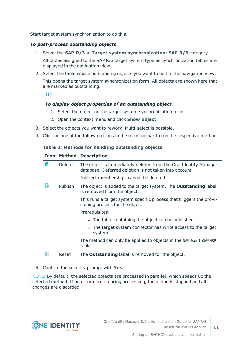Start target system synchronization to do this.

### *To post-process outstanding objects*

- 1. Select the **SAP R/3 > Target system synchronization: SAP R/3** category. All tables assigned to the SAP R/3 target system type as synchronization tables are displayed in the navigation view.
- 2. Select the table whose outstanding objects you want to edit in the navigation view.

This opens the target system synchronization form. All objects are shown here that are marked as outstanding.

TIP:

### *To display object properties of an outstanding object*

- 1. Select the object on the target system synchronization form.
- 2. Open the context menu and click **Show object**.
- 3. Select the objects you want to rework. Multi-select is possible.
- 4. Click on one of the following icons in the form toolbar to run the respective method.

### **Table 2: Methods for handling outstanding objects**

### **Icon Method Description**

| īх | <b>Delete</b> | The object is immediately deleted from the One Identity Manager<br>database. Deferred deletion is not taken into account. |
|----|---------------|---------------------------------------------------------------------------------------------------------------------------|
|    |               | Indirect memberships cannot be deleted.                                                                                   |
| 5  | Publish       | The object is added to the target system. The <b>Outstanding</b> label<br>is removed from the object.                     |
|    |               | This runs a target system specific process that triggers the provi-<br>sioning process for the object.                    |
|    |               | Prerequisites:                                                                                                            |
|    |               | • The table containing the object can be published.                                                                       |
|    |               | • The target system connector has write access to the target<br>system.                                                   |
|    |               | The method can only be applied to objects in the SAPUserInSAPHRP<br>table.                                                |
| 51 | Reset         | The <b>Outstanding</b> label is removed for the object.                                                                   |

#### 5. Confirm the security prompt with **Yes**.

NOTE: By default, the selected objects are processed in parallel, which speeds up the selected method. If an error occurs during processing, the action is stopped and all changes are discarded.

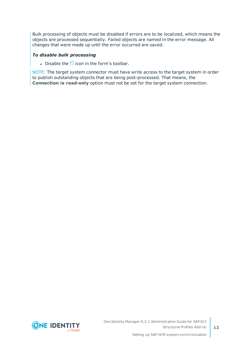Bulk processing of objects must be disabled if errors are to be localized, which means the objects are processed sequentially. Failed objects are named in the error message. All changes that were made up until the error occurred are saved.

### *To disable bulk processing*

- Disable the  $\Box$  icon in the form's toolbar.

NOTE: The target system connector must have write access to the target system in order to publish outstanding objects that are being post-processed. That means, the **Connection is read-only** option must not be set for the target system connection.

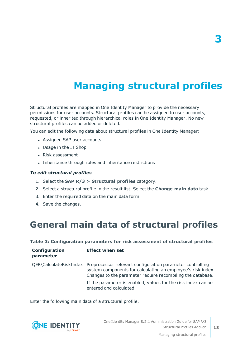# **Managing structural profiles**

<span id="page-12-0"></span>Structural profiles are mapped in One Identity Manager to provide the necessary permissions for user accounts. Structural profiles can be assigned to user accounts, requested, or inherited through hierarchical roles in One Identity Manager. No new structural profiles can be added or deleted.

You can edit the following data about structural profiles in One Identity Manager:

- Assigned SAP user accounts
- Usage in the IT Shop
- Risk assessment
- Inheritance through roles and inheritance restrictions

### *To edit structural profiles*

- 1. Select the **SAP R/3 > Structural profiles** category.
- 2. Select a structural profile in the result list. Select the **Change main data** task.
- 3. Enter the required data on the main data form.
- <span id="page-12-1"></span>4. Save the changes.

### **General main data of structural profiles**

#### **Table 3: Configuration parameters for risk assessment of structural profiles**

| Configuration<br>parameter | <b>Effect when set</b>                                                                                                                                                                                        |
|----------------------------|---------------------------------------------------------------------------------------------------------------------------------------------------------------------------------------------------------------|
|                            | QER\CalculateRiskIndex Preprocessor relevant configuration parameter controlling<br>system components for calculating an employee's risk index.<br>Changes to the parameter require recompiling the database. |
|                            | If the parameter is enabled, values for the risk index can be<br>entered and calculated.                                                                                                                      |

Enter the following main data of a structural profile.



**3**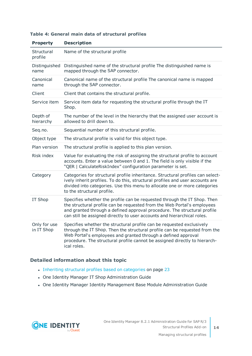| <b>Property</b>            | <b>Description</b>                                                                                                                                                                                                                                                                                                |
|----------------------------|-------------------------------------------------------------------------------------------------------------------------------------------------------------------------------------------------------------------------------------------------------------------------------------------------------------------|
| Structural<br>profile      | Name of the structural profile                                                                                                                                                                                                                                                                                    |
| Distinguished<br>name      | Distinguished name of the structural profile The distinguished name is<br>mapped through the SAP connector.                                                                                                                                                                                                       |
| Canonical<br>name          | Canonical name of the structural profile The canonical name is mapped<br>through the SAP connector.                                                                                                                                                                                                               |
| Client                     | Client that contains the structural profile.                                                                                                                                                                                                                                                                      |
| Service item               | Service item data for requesting the structural profile through the IT<br>Shop.                                                                                                                                                                                                                                   |
| Depth of<br>hierarchy      | The number of the level in the hierarchy that the assigned user account is<br>allowed to drill down to.                                                                                                                                                                                                           |
| Seq.no.                    | Sequential number of this structural profile.                                                                                                                                                                                                                                                                     |
| Object type                | The structural profile is valid for this object type.                                                                                                                                                                                                                                                             |
| Plan version               | The structural profile is applied to this plan version.                                                                                                                                                                                                                                                           |
| Risk index                 | Value for evaluating the risk of assigning the structural profile to account<br>accounts. Enter a value between 0 and 1. The field is only visible if the<br>"QER   CalculateRiskIndex" configuration parameter is set.                                                                                           |
| Category                   | Categories for structural profile inheritance. Structural profiles can select-<br>ively inherit profiles. To do this, structural profiles and user accounts are<br>divided into categories. Use this menu to allocate one or more categories<br>to the structural profile.                                        |
| IT Shop                    | Specifies whether the profile can be requested through the IT Shop. Then<br>the structural profile can be requested from the Web Portal's employees<br>and granted through a defined approval procedure. The structural profile<br>can still be assigned directly to user accounts and hierarchical roles.        |
| Only for use<br>in IT Shop | Specifies whether the structural profile can be requested exclusively<br>through the IT Shop. Then the structural profile can be requested from the<br>Web Portal's employees and granted through a defined approval<br>procedure. The structural profile cannot be assigned directly to hierarch-<br>ical roles. |

### **Table 4: General main data of structural profiles**

### **Detailed information about this topic**

- Inheriting structural profiles based on [categories](#page-22-0) on page 23
- One Identity Manager IT Shop Administration Guide
- One Identity Manager Identity Management Base Module Administration Guide

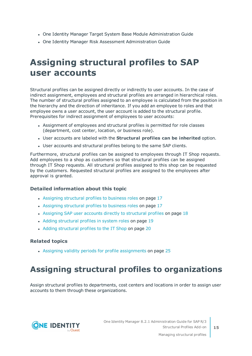- One Identity Manager Target System Base Module Administration Guide
- One Identity Manager Risk Assessment Administration Guide

## <span id="page-14-0"></span>**Assigning structural profiles to SAP user accounts**

Structural profiles can be assigned directly or indirectly to user accounts. In the case of indirect assignment, employees and structural profiles are arranged in hierarchical roles. The number of structural profiles assigned to an employee is calculated from the position in the hierarchy and the direction of inheritance. If you add an employee to roles and that employee owns a user account, the user account is added to the structural profile. Prerequisites for indirect assignment of employees to user accounts:

- Assignment of employees and structural profiles is permitted for role classes (department, cost center, location, or business role).
- <sup>l</sup> User accounts are labeled with the **Structural profiles can be inherited** option.
- User accounts and structural profiles belong to the same SAP clients.

Furthermore, structural profiles can be assigned to employees through IT Shop requests. Add employees to a shop as customers so that structural profiles can be assigned through IT Shop requests. All structural profiles assigned to this shop can be requested by the customers. Requested structural profiles are assigned to the employees after approval is granted.

### **Detailed information about this topic**

- Assigning [structural](#page-16-0) profiles to business roles on page 17
- Assigning [structural](#page-16-0) profiles to business roles on page 17
- Assigning SAP user accounts directly to [structural](#page-17-0) profiles on page 18
- Adding [structural](#page-18-0) profiles in system roles on page 19
- Adding [structural](#page-19-0) profiles to the IT Shop on page 20

### **Related topics**

• Assigning validity periods for profile [assignments](#page-24-0) on page 25

### <span id="page-14-1"></span>**Assigning structural profiles to organizations**

Assign structural profiles to departments, cost centers and locations in order to assign user accounts to them through these organizations.

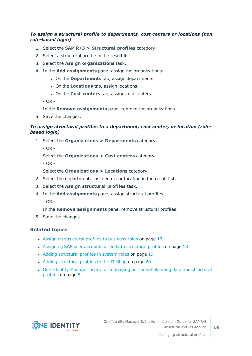### *To assign a structural profile to departments, cost centers or locations (non role-based login)*

- 1. Select the **SAP R/3 > Structural profiles** category.
- 2. Select a structural profile in the result list.
- 3. Select the **Assign organizations** task.
- 4. In the **Add assignments** pane, assign the organizations:
	- **.** On the **Departments** tab, assign departments.
	- **.** On the **Locations** tab, assign locations.
	- **.** On the **Cost centers** tab, assign cost centers.

 $-$  OR  $-$ 

In the **Remove assignments** pane, remove the organizations.

5. Save the changes.

### *To assign structural profiles to a department, cost center, or location (rolebased login)*

- 1. Select the **Organizations > Departments** category.
	- $-$  OR  $-$

Select the **Organizations > Cost centers** category.

- OR -

Select the **Organizations > Locations** category.

- 2. Select the department, cost center, or location in the result list.
- 3. Select the **Assign structural profiles** task.
- 4. In the **Add assignments** pane, assign structural profiles.
	- OR -

In the **Remove assignments** pane, remove structural profiles.

5. Save the changes.

### **Related topics**

- Assigning [structural](#page-16-0) profiles to business roles on page 17
- Assigning SAP user accounts directly to [structural](#page-17-0) profiles on page 18
- Adding [structural](#page-18-0) profiles in system roles on page 19
- Adding [structural](#page-19-0) profiles to the IT Shop on page 20
- One Identity Manager users for [managing](#page-4-1) personnel planning data and structural [profiles](#page-4-1) on page 5

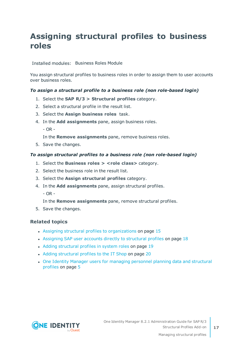### <span id="page-16-0"></span>**Assigning structural profiles to business roles**

Installed modules: Business Roles Module

You assign structural profiles to business roles in order to assign them to user accounts over business roles.

### *To assign a structural profile to a business role (non role-based login)*

- 1. Select the **SAP R/3 > Structural profiles** category.
- 2. Select a structural profile in the result list.
- 3. Select the **Assign business roles** task.
- 4. In the **Add assignments** pane, assign business roles.
	- $-$  OR  $-$

In the **Remove assignments** pane, remove business roles.

5. Save the changes.

#### *To assign structural profiles to a business role (non role-based login)*

- 1. Select the **Business roles > <role class>** category.
- 2. Select the business role in the result list.
- 3. Select the **Assign structural profiles** category.
- 4. In the **Add assignments** pane, assign structural profiles.
	- $-$  OR  $-$

In the **Remove assignments** pane, remove structural profiles.

5. Save the changes.

### **Related topics**

- Assigning structural profiles to [organizations](#page-14-1) on page 15
- Assigning SAP user accounts directly to [structural](#page-17-0) profiles on page 18
- Adding [structural](#page-18-0) profiles in system roles on page 19
- Adding [structural](#page-19-0) profiles to the IT Shop on page 20
- One Identity Manager users for [managing](#page-4-1) personnel planning data and structural [profiles](#page-4-1) on page 5



**17**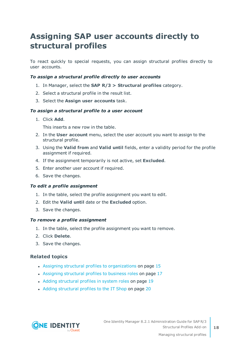### <span id="page-17-0"></span>**Assigning SAP user accounts directly to structural profiles**

To react quickly to special requests, you can assign structural profiles directly to user accounts.

### *To assign a structural profile directly to user accounts*

- 1. In Manager, select the **SAP R/3 > Structural profiles** category.
- 2. Select a structural profile in the result list.
- 3. Select the **Assign user accounts** task.

#### *To assign a structural profile to a user account*

1. Click **Add**.

This inserts a new row in the table.

- 2. In the **User account** menu, select the user account you want to assign to the structural profile.
- 3. Using the **Valid from** and **Valid until** fields, enter a validity period for the profile assignment if required.
- 4. If the assignment temporarily is not active, set **Excluded**.
- 5. Enter another user account if required.
- 6. Save the changes.

#### *To edit a profile assignment*

- 1. In the table, select the profile assignment you want to edit.
- 2. Edit the **Valid until** date or the **Excluded** option.
- 3. Save the changes.

#### *To remove a profile assignment*

- 1. In the table, select the profile assignment you want to remove.
- 2. Click **Delete**.
- 3. Save the changes.

### **Related topics**

- Assigning structural profiles to [organizations](#page-14-1) on page 15
- Assigning [structural](#page-16-0) profiles to business roles on page 17
- Adding [structural](#page-18-0) profiles in system roles on page 19
- Adding [structural](#page-19-0) profiles to the IT Shop on page 20

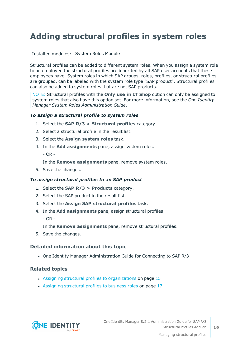### <span id="page-18-0"></span>**Adding structural profiles in system roles**

Installed modules: System Roles Module

Structural profiles can be added to different system roles. When you assign a system role to an employee the structural profiles are inherited by all SAP user accounts that these employees have. System roles in which SAP groups, roles, profiles, or structural profiles are grouped, can be labeled with the system role type "SAP product". Structural profiles can also be added to system roles that are not SAP products.

NOTE: Structural profiles with the **Only use in IT Shop** option can only be assigned to system roles that also have this option set. For more information, see the *One Identity Manager System Roles Administration Guide*.

### *To assign a structural profile to system roles*

- 1. Select the **SAP R/3 > Structural profiles** category.
- 2. Select a structural profile in the result list.
- 3. Select the **Assign system roles** task.
- 4. In the **Add assignments** pane, assign system roles.
	- OR -

In the **Remove assignments** pane, remove system roles.

5. Save the changes.

#### *To assign structural profiles to an SAP product*

- 1. Select the **SAP R/3 > Products** category.
- 2. Select the SAP product in the result list.
- 3. Select the **Assign SAP structural profiles** task.
- 4. In the **Add assignments** pane, assign structural profiles.

 $-$  OR  $-$ 

In the **Remove assignments** pane, remove structural profiles.

5. Save the changes.

#### **Detailed information about this topic**

• One Identity Manager Administration Guide for Connecting to SAP R/3

### **Related topics**

- Assigning structural profiles to [organizations](#page-14-1) on page 15
- Assigning [structural](#page-16-0) profiles to business roles on page 17

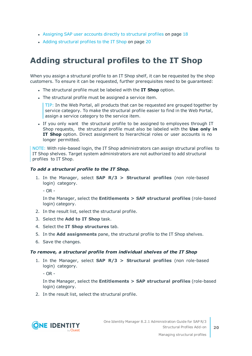- Assigning SAP user accounts directly to [structural](#page-17-0) profiles on page 18
- Adding [structural](#page-19-0) profiles to the IT Shop on page 20

### <span id="page-19-0"></span>**Adding structural profiles to the IT Shop**

When you assign a structural profile to an IT Shop shelf, it can be requested by the shop customers. To ensure it can be requested, further prerequisites need to be guaranteed:

- <sup>l</sup> The structural profile must be labeled with the **IT Shop** option.
- The structural profile must be assigned a service item.

TIP: In the Web Portal, all products that can be requested are grouped together by service category. To make the structural profile easier to find in the Web Portal, assign a service category to the service item.

If you only want the structural profile to be assigned to employees through IT Shop requests, the structural profile must also be labeled with the **Use only in IT Shop** option. Direct assignment to hierarchical roles or user accounts is no longer permitted.

NOTE: With role-based login, the IT Shop administrators can assign structural profiles to IT Shop shelves. Target system administrators are not authorized to add structural profiles to IT Shop.

### *To add a structural profile to the IT Shop.*

- 1. In the Manager, select **SAP R/3 > Structural profiles** (non role-based login) category.
	- OR -

In the Manager, select the **Entitlements > SAP structural profiles** (role-based login) category.

- 2. In the result list, select the structural profile.
- 3. Select the **Add to IT Shop** task.
- 4. Select the **IT Shop structures** tab.
- 5. In the **Add assignments** pane, the structural profile to the IT Shop shelves.
- 6. Save the changes.

#### *To remove, a structural profile from individual shelves of the IT Shop*

1. In the Manager, select **SAP R/3 > Structural profiles** (non role-based login) category.

 $- OR -$ 

In the Manager, select the **Entitlements > SAP structural profiles** (role-based login) category.

2. In the result list, select the structural profile.

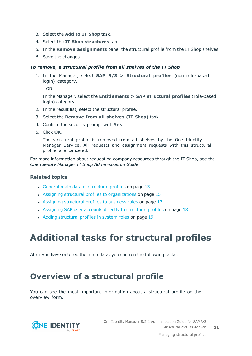- 3. Select the **Add to IT Shop** task.
- 4. Select the **IT Shop structures** tab.
- 5. In the **Remove assignments** pane, the structural profile from the IT Shop shelves.
- 6. Save the changes.

### *To remove, a structural profile from all shelves of the IT Shop*

1. In the Manager, select **SAP R/3 > Structural profiles** (non role-based login) category.

- OR -

In the Manager, select the **Entitlements > SAP structural profiles** (role-based login) category.

- 2. In the result list, select the structural profile.
- 3. Select the **Remove from all shelves (IT Shop)** task.
- 4. Confirm the security prompt with **Yes**.
- 5. Click **OK**.

The structural profile is removed from all shelves by the One Identity Manager Service. All requests and assignment requests with this structural profile are canceled.

For more information about requesting company resources through the IT Shop, see the *One Identity Manager IT Shop Administration Guide*.

### **Related topics**

- General main data of [structural](#page-12-1) profiles on page 13
- Assigning structural profiles to [organizations](#page-14-1) on page 15
- Assigning [structural](#page-16-0) profiles to business roles on page 17
- Assigning SAP user accounts directly to [structural](#page-17-0) profiles on page 18
- Adding [structural](#page-18-0) profiles in system roles on page 19

## <span id="page-20-0"></span>**Additional tasks for structural profiles**

After you have entered the main data, you can run the following tasks.

### <span id="page-20-1"></span>**Overview of a structural profile**

You can see the most important information about a structural profile on the overview form.



Managing structural profiles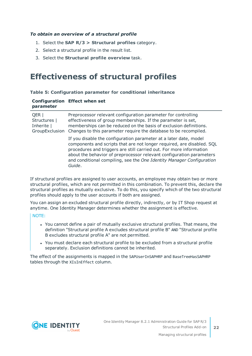### *To obtain an overview of a structural profile*

- 1. Select the **SAP R/3 > Structural profiles** category.
- 2. Select a structural profile in the result list.
- <span id="page-21-0"></span>3. Select the **Structural profile overview** task.

### **Effectiveness of structural profiles**

### **Table 5: Configuration parameter for conditional inheritance**

### **Configuration Effect when set parameter**

| QER  <br>Structures  <br>Inherite  <br>GroupExclusion | Preprocessor relevant configuration parameter for controlling<br>effectiveness of group memberships. If the parameter is set,<br>memberships can be reduced on the basis of exclusion definitions.<br>Changes to this parameter require the database to be recompiled.                                                                                                        |
|-------------------------------------------------------|-------------------------------------------------------------------------------------------------------------------------------------------------------------------------------------------------------------------------------------------------------------------------------------------------------------------------------------------------------------------------------|
|                                                       | If you disable the configuration parameter at a later date, model<br>components and scripts that are not longer required, are disabled. SQL<br>procedures and triggers are still carried out. For more information<br>about the behavior of preprocessor relevant configuration parameters<br>and conditional compiling, see the One Identity Manager Configuration<br>Guide. |

If structural profiles are assigned to user accounts, an employee may obtain two or more structural profiles, which are not permitted in this combination. To prevent this, declare the structural profiles as mutually exclusive. To do this, you specify which of the two structural profiles should apply to the user accounts if both are assigned.

You can assign an excluded structural profile directly, indirectly, or by IT Shop request at anytime. One Identity Manager determines whether the assignment is effective.

NOTE:

- You cannot define a pair of mutually exclusive structural profiles. That means, the definition "Structural profile A excludes structural profile B" AND "Structural profile B excludes structural profile A" are not permitted.
- You must declare each structural profile to be excluded from a structural profile separately. Exclusion definitions cannot be inherited.

The effect of the assignments is mapped in the SAPUserInSAPHRP and BaseTreeHasSAPHRP tables through the XIsInEffect column.

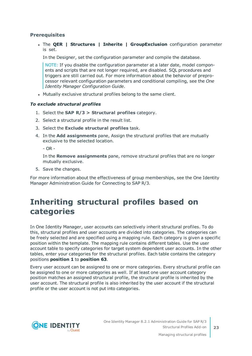### **Prerequisites**

<sup>l</sup> The **QER | Structures | Inherite | GroupExclusion** configuration parameter is set.

In the Designer, set the configuration parameter and compile the database.

NOTE: If you disable the configuration parameter at a later date, model components and scripts that are not longer required, are disabled. SQL procedures and triggers are still carried out. For more information about the behavior of preprocessor relevant configuration parameters and conditional compiling, see the *One Identity Manager Configuration Guide*.

• Mutually exclusive structural profiles belong to the same client.

### *To exclude structural profiles*

- 1. Select the **SAP R/3 > Structural profiles** category.
- 2. Select a structural profile in the result list.
- 3. Select the **Exclude structural profiles** task.
- 4. In the **Add assignments** pane, Assign the structural profiles that are mutually exclusive to the selected location.

 $-$  OR  $-$ 

In the **Remove assignments** pane, remove structural profiles that are no longer mutually exclusive.

5. Save the changes.

For more information about the effectiveness of group memberships, see the One Identity Manager Administration Guide for Connecting to SAP R/3.

### <span id="page-22-0"></span>**Inheriting structural profiles based on categories**

In One Identity Manager, user accounts can selectively inherit structural profiles. To do this, structural profiles and user accounts are divided into categories. The categories can be freely selected and are specified using a mapping rule. Each category is given a specific position within the template. The mapping rule contains different tables. Use the user account table to specify categories for target system dependent user accounts. In the other tables, enter your categories for the structural profiles. Each table contains the category positions **position 1** to **position 63**.

Every user account can be assigned to one or more categories. Every structural profile can be assigned to one or more categories as well. If at least one user account category position matches an assigned structural profile, the structural profile is inherited by the user account. The structural profile is also inherited by the user account if the structural profile or the user account is not put into categories.

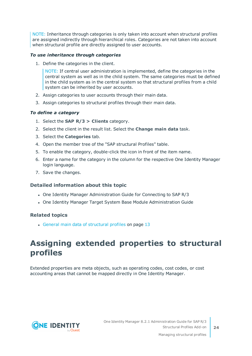NOTE: Inheritance through categories is only taken into account when structural profiles are assigned indirectly through hierarchical roles. Categories are not taken into account when structural profile are directly assigned to user accounts.

### *To use inheritance through categories*

1. Define the categories in the client.

NOTE: If central user administration is implemented, define the categories in the central system as well as in the child system. The same categories must be defined in the child system as in the central system so that structural profiles from a child system can be inherited by user accounts.

- 2. Assign categories to user accounts through their main data.
- 3. Assign categories to structural profiles through their main data.

### *To define a category*

- 1. Select the **SAP R/3 > Clients** category.
- 2. Select the client in the result list. Select the **Change main data** task.
- 3. Select the **Categories** tab.
- 4. Open the member tree of the "SAP structural Profiles" table.
- 5. To enable the category, double-click the icon in front of the item name.
- 6. Enter a name for the category in the column for the respective One Identity Manager login language.
- 7. Save the changes.

### **Detailed information about this topic**

- One Identity Manager Administration Guide for Connecting to SAP R/3
- One Identity Manager Target System Base Module Administration Guide

### **Related topics**

• General main data of [structural](#page-12-1) profiles on page 13

### <span id="page-23-0"></span>**Assigning extended properties to structural profiles**

Extended properties are meta objects, such as operating codes, cost codes, or cost accounting areas that cannot be mapped directly in One Identity Manager.



One Identity Manager 8.2.1 Administration Guide for SAP R/3 Structural Profiles Add-on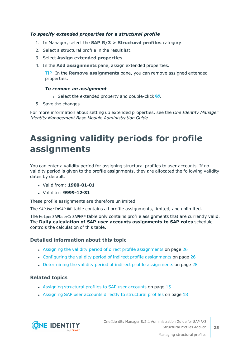### *To specify extended properties for a structural profile*

- 1. In Manager, select the **SAP R/3 > Structural profiles** category.
- 2. Select a structural profile in the result list.
- 3. Select **Assign extended properties**.
- 4. In the **Add assignments** pane, assign extended properties.

TIP: In the **Remove assignments** pane, you can remove assigned extended properties.

### *To remove an assignment*

- **Select the extended property and double-click**  $\odot$ **.**
- 5. Save the changes.

For more information about setting up extended properties, see the *One Identity Manager Identity Management Base Module Administration Guide*.

## <span id="page-24-0"></span>**Assigning validity periods for profile assignments**

You can enter a validity period for assigning structural profiles to user accounts. If no validity period is given to the profile assignments, they are allocated the following validity dates by default:

- <sup>l</sup> Valid from: **1900-01-01**
- <sup>l</sup> Valid to : **9999-12-31**

These profile assignments are therefore unlimited.

The SAPUserInSAPHRP table contains all profile assignments, limited, and unlimited.

The HelperSAPUserInSAPHRP table only contains profile assignments that are currently valid. The **Daily calculation of SAP user accounts assignments to SAP roles** schedule controls the calculation of this table.

### **Detailed information about this topic**

- Assigning the validity period of direct profile [assignments](#page-25-0) on page 26
- Configuring the validity period of indirect profile [assignments](#page-25-1) on page 26
- Determining the validity period of indirect profile [assignments](#page-27-0) on page 28

### **Related topics**

- Assigning [structural](#page-14-0) profiles to SAP user accounts on page 15
- Assigning SAP user accounts directly to [structural](#page-17-0) profiles on page  $18$

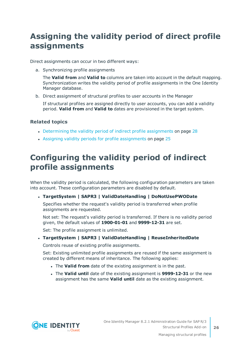### <span id="page-25-0"></span>**Assigning the validity period of direct profile assignments**

Direct assignments can occur in two different ways:

a. Synchronizing profile assignments

The **Valid from** and **Valid to** columns are taken into account in the default mapping. Synchronization writes the validity period of profile assignments in the One Identity Manager database.

b. Direct assignment of structural profiles to user accounts in the Manager

If structural profiles are assigned directly to user accounts, you can add a validity period. **Valid from** and **Valid to** dates are provisioned in the target system.

### **Related topics**

- Determining the validity period of indirect profile [assignments](#page-27-0) on page 28
- Assigning validity periods for profile [assignments](#page-24-0) on page 25

### <span id="page-25-1"></span>**Configuring the validity period of indirect profile assignments**

When the validity period is calculated, the following configuration parameters are taken into account. These configuration parameters are disabled by default.

### <sup>l</sup> **TargetSystem | SAPR3 | ValidDateHandling | DoNotUsePWODate**

Specifies whether the request's validity period is transferred when profile assignments are requested.

Not set: The request's validity period is transferred. If there is no validity period given, the default values of **1900-01-01** and **9999-12-31** are set.

Set: The profile assignment is unlimited.

<sup>l</sup> **TargetSystem | SAPR3 | ValidDateHandling | ReuseInheritedDate**

Controls reuse of existing profile assignments.

Set: Existing unlimited profile assignments are reused if the same assignment is created by different means of inheritance. The following applies:

- **.** The **Valid from** date of the existing assignment is in the past.
- <sup>l</sup> The **Valid until** date of the existing assignment is **9999-12-31** or the new assignment has the same **Valid until** date as the existing assignment.

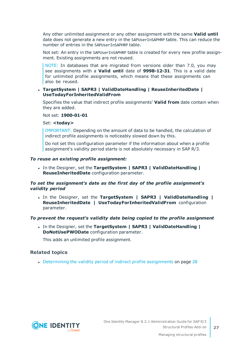Any other unlimited assignment or any other assignment with the same **Valid until** date does not generate a new entry in the SAPUserInSAPHRP table. This can reduce the number of entries in the SAPUserInSAPHRP table.

Not set: An entry in the SAPUserInSAPHRP table is created for every new profile assignment. Existing assignments are not reused.

NOTE: In databases that are migrated from versions older than 7.0, you may see assignments with a **Valid until** date of **9998-12-31**. This is a valid date for unlimited profile assignments, which means that these assignments can also be reused.

### <sup>l</sup> **TargetSystem | SAPR3 | ValidDateHandling | ReuseInheritedDate | UseTodayForInheritedValidFrom**

Specifies the value that indirect profile assignments' **Valid from** date contain when they are added.

Not set: **1900-01-01**

Set: <today>

IMPORTANT: Depending on the amount of data to be handled, the calculation of indirect profile assignments is noticeably slowed down by this.

Do not set this configuration parameter if the information about when a profile assignment's validity period starts is not absolutely necessary in SAP R/3.

#### *To reuse an existing profile assignment:*

<sup>l</sup> In the Designer, set the **TargetSystem | SAPR3 | ValidDateHandling | ReuseInheritedDate** configuration parameter.

### *To set the assignment's date as the first day of the profile assignment's validity period*

<sup>l</sup> In the Designer, set the **TargetSystem | SAPR3 | ValidDateHandling | ReuseInheritedDate | UseTodayForInheritedValidFrom** configuration parameter.

#### *To prevent the request's validity date being copied to the profile assignment*

<sup>l</sup> In the Designer, set the **TargetSystem | SAPR3 | ValidDateHandling | DoNotUsePWODate** configuration parameter.

This adds an unlimited profile assignment.

#### **Related topics**

• Determining the validity period of indirect profile [assignments](#page-27-0) on page 28

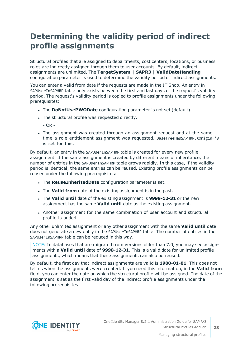### <span id="page-27-0"></span>**Determining the validity period of indirect profile assignments**

Structural profiles that are assigned to departments, cost centers, locations, or business roles are indirectly assigned through them to user accounts. By default, indirect assignments are unlimited. The **TargetSystem | SAPR3 | ValidDateHandling** configuration parameter is used to determine the validity period of indirect assignments.

You can enter a valid from date if the requests are made in the IT Shop. An entry in SAPUserInSAPHRP table only exists between the first and last days of the request's validity period. The request's validity period is copied to profile assignments under the following prerequisites:

- **.** The **DoNotUsePWODate** configuration parameter is not set (default).
- The structural profile was requested directly.
	- $-$  OR  $-$
- The assignment was created through an assignment request and at the same time a role entitlement assignment was requested. BaseTreeHasSAPHRP.XOrigin='8' is set for this.

By default, an entry in the SAPUserInSAPHRP table is created for every new profile assignment. If the same assignment is created by different means of inheritance, the number of entries in the SAPUserInSAPHRP table grows rapidly. In this case, if the validity period is identical, the same entries can be reused. Existing profile assignments can be reused under the following prerequisites:

- <sup>l</sup> The **ReuseInheritedDate** configuration parameter is set.
- **.** The Valid from date of the existing assignment is in the past.
- <sup>l</sup> The **Valid until** date of the existing assignment is **9999-12-31** or the new assignment has the same **Valid until** date as the existing assignment.
- Another assignment for the same combination of user account and structural profile is added.

Any other unlimited assignment or any other assignment with the same **Valid until** date does not generate a new entry in the SAPUserInSAPHRP table. The number of entries in the SAPUserInSAPHRP table can be reduced in this way.

NOTE: In databases that are migrated from versions older than 7.0, you may see assignments with a **Valid until** date of **9998-12-31**. This is a valid date for unlimited profile assignments, which means that these assignments can also be reused.

By default, the first day that indirect assignments are valid is **1900-01-01**. This does not tell us when the assignments were created. If you need this information, in the **Valid from** field, you can enter the date on which the structural profile will be assigned. The date of the assignment is set as the first valid day of the indirect profile assignments under the following prerequisites:

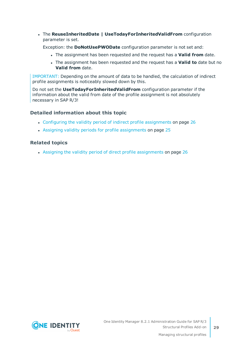<sup>l</sup> The **ReuseInheritedDate | UseTodayForInheritedValidFrom** configuration parameter is set.

Exception: the **DoNotUsePWODate** configuration parameter is not set and:

- <sup>l</sup> The assignment has been requested and the request has a **Valid from** date.
- <sup>l</sup> The assignment has been requested and the request has a **Valid to** date but no **Valid from** date.

IMPORTANT: Depending on the amount of data to be handled, the calculation of indirect profile assignments is noticeably slowed down by this.

Do not set the **UseTodayForInheritedValidFrom** configuration parameter if the information about the valid from date of the profile assignment is not absolutely necessary in SAP R/3!

### **Detailed information about this topic**

- Configuring the validity period of indirect profile [assignments](#page-25-1) on page 26
- Assigning validity periods for profile [assignments](#page-24-0) on page 25

### **Related topics**

• Assigning the validity period of direct profile [assignments](#page-25-0) on page 26

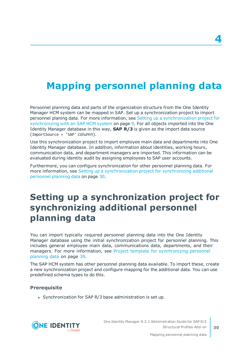# <span id="page-29-0"></span>**Mapping personnel planning data**

Personnel planning data and parts of the organization structure from the One Identity Manager HCM system can be mapped in SAP. Set up a synchronization project to import personnel planing data. For more information, see Setting up a [synchronization](#page-8-1) project for [synchronizing](#page-8-1) with an SAP HCM system on page 9. For all objects imported into the One Identity Manager database in this way, **SAP R/3** is given as the import data source (ImportSource = 'SAP' column).

Use this synchronization project to import employee main data and departments into One Identity Manager database. In addition, information about identities, working hours, communication data, and department managers are imported. This information can be evaluated during identity audit by assigning employees to SAP user accounts.

Furthermore, you can configure synchronization for other personnel planning data. [For](#page-29-1) more information, see Setting up a [synchronization](#page-29-1) project for synchronizing additional [personnel](#page-29-1) planning data on page 30.

## <span id="page-29-1"></span>**Setting up a synchronization project for synchronizing additional personnel planning data**

You can import typically required personnel planning data into the One Identity Manager database using the initial synchronization project for personnel planning. This includes general employee main data, communications data, departments, and their managers. For more information, see Project template for [synchronizing](#page-38-0) personnel [planning](#page-38-0) data on page 39.

The SAP HCM system has other personnel planning data available. To import these, create a new synchronization project and configure mapping for the additional data. You can use predefined schema types to do this.

### **Prerequisite**

• Synchronization for SAP R/3 base administration is set up.



One Identity Manager 8.2.1 Administration Guide for SAP R/3 Structural Profiles Add-on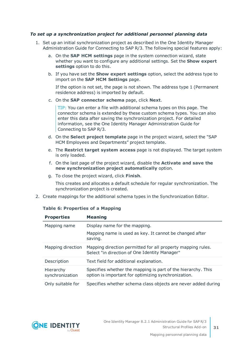### *To set up a synchronization project for additional personnel planning data*

- 1. Set up an initial synchronization project as described in the One Identity Manager Administration Guide for Connecting to SAP R/3. The following special features apply:
	- a. On the **SAP HCM settings** page in the system connection wizard, state whether you want to configure any additional settings. Set the **Show expert settings** option to do this.
	- b. If you have set the **Show expert settings** option, select the address type to import on the **SAP HCM Settings** page.

If the option is not set, the page is not shown. The address type 1 (Permanent residence address) is imported by default.

c. On the **SAP connector schema** page, click **Next**.

TIP: You can enter a file with additional schema types on this page. The connector schema is extended by these custom schema types. You can also enter this data after saving the synchronization project. For detailed information, see the One Identity Manager Administration Guide for Connecting to SAP R/3.

- d. On the **Select project template** page in the project wizard, select the "SAP HCM Employees and Departments" project template.
- e. The **Restrict target system access** page is not displayed. The target system is only loaded.
- f. On the last page of the project wizard, disable the **Activate and save the new synchronization project automatically** option.
- g. To close the project wizard, click **Finish**.

This creates and allocates a default schedule for regular synchronization. The synchronization project is created.

2. Create mappings for the additional schema types in the Synchronization Editor.

#### **Table 6: Properties of a Mapping**

| <b>Properties</b>            | <b>Meaning</b>                                                                                                      |
|------------------------------|---------------------------------------------------------------------------------------------------------------------|
| Mapping name                 | Display name for the mapping.                                                                                       |
|                              | Mapping name is used as key. It cannot be changed after<br>saving.                                                  |
| Mapping direction            | Mapping direction permitted for all property mapping rules.<br>Select "in direction of One Identity Manager"        |
| Description                  | Text field for additional explanation.                                                                              |
| Hierarchy<br>synchronization | Specifies whether the mapping is part of the hierarchy. This<br>option is important for optimizing synchronization. |
| Only suitable for            | Specifies whether schema class objects are never added during                                                       |

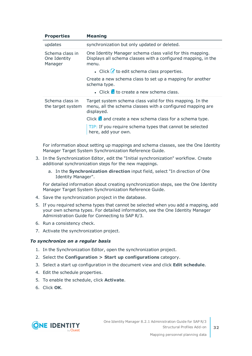| <b>Properties</b>                          | <b>Meaning</b>                                                                                                                        |  |
|--------------------------------------------|---------------------------------------------------------------------------------------------------------------------------------------|--|
| updates                                    | synchronization but only updated or deleted.                                                                                          |  |
| Schema class in<br>One Identity<br>Manager | One Identity Manager schema class valid for this mapping.<br>Displays all schema classes with a configured mapping, in the<br>menu.   |  |
|                                            | • Click $\mathcal I$ to edit schema class properties.                                                                                 |  |
|                                            | Create a new schema class to set up a mapping for another<br>schema type.                                                             |  |
|                                            | • Click $\Box$ to create a new schema class.                                                                                          |  |
| Schema class in<br>the target system       | Target system schema class valid for this mapping. In the<br>menu, all the schema classes with a configured mapping are<br>displayed. |  |
|                                            | Click $\mathbf{\hat{a}}$ and create a new schema class for a schema type.                                                             |  |
|                                            | TIP: If you require schema types that cannot be selected<br>here, add your own.                                                       |  |

For information about setting up mappings and schema classes, see the One Identity Manager Target System Synchronization Reference Guide.

- 3. In the Synchronization Editor, edit the "Initial synchronization" workflow. Create additional synchronization steps for the new mappings.
	- a. In the **Synchronization direction** input field, select "In direction of One Identity Manager".

For detailed information about creating synchronization steps, see the One Identity Manager Target System Synchronization Reference Guide.

- 4. Save the synchronization project in the database.
- 5. If you required schema types that cannot be selected when you add a mapping, add your own schema types. For detailed information, see the One Identity Manager Administration Guide for Connecting to SAP R/3.
- 6. Run a consistency check.
- 7. Activate the synchronization project.

#### *To synchronize on a regular basis*

- 1. In the Synchronization Editor, open the synchronization project.
- 2. Select the **Configuration > Start up configurations** category.
- 3. Select a start up configuration in the document view and click **Edit schedule**.
- 4. Edit the schedule properties.
- 5. To enable the schedule, click **Activate**.
- 6. Click **OK**.

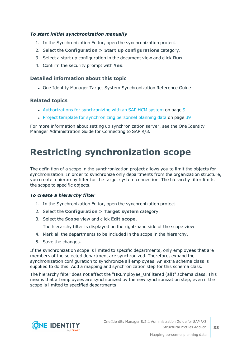### *To start initial synchronization manually*

- 1. In the Synchronization Editor, open the synchronization project.
- 2. Select the **Configuration > Start up configurations** category.
- 3. Select a start up configuration in the document view and click **Run**.
- 4. Confirm the security prompt with **Yes**.

### **Detailed information about this topic**

• One Identity Manager Target System Synchronization Reference Guide

### **Related topics**

- [Authorizations](#page-8-0) for synchronizing with an SAP HCM system on page 9
- Project template for [synchronizing](#page-38-0) personnel planning data on page 39

For more information about setting up synchronization server, see the One Identity Manager Administration Guide for Connecting to SAP R/3.

### <span id="page-32-0"></span>**Restricting synchronization scope**

The definition of a scope in the synchronization project allows you to limit the objects for synchronization. In order to synchronize only departments from the organization structure, you create a hierarchy filter for the target system connection. The hierarchy filter limits the scope to specific objects.

#### *To create a hierarchy filter*

- 1. In the Synchronization Editor, open the synchronization project.
- 2. Select the **Configuration > Target system** category.
- 3. Select the **Scope** view and click **Edit scope**.

The hierarchy filter is displayed on the right-hand side of the scope view.

- 4. Mark all the departments to be included in the scope in the hierarchy.
- 5. Save the changes.

If the synchronization scope is limited to specific departments, only employees that are members of the selected department are synchronized. Therefore, expand the synchronization configuration to synchronize all employees. An extra schema class is supplied to do this. Add a mapping and synchronization step for this schema class.

The hierarchy filter does not affect the "HREmployee\_Unfiltered (all)" schema class. This means that all employees are synchronized by the new synchronization step, even if the scope is limited to specified departments.

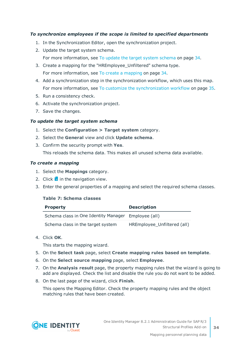### *To synchronize employees if the scope is limited to specified departments*

- 1. In the Synchronization Editor, open the synchronization project.
- 2. Update the target system schema. For more [information,](#page-33-0) see To update the target system schema on page 34.
- 3. Create a mapping for the "HREmployee\_Unfiltered" schema type. For more [information,](#page-33-1) see To create a mapping on page 34.
- 4. Add a synchronization step in the synchronization workflow, which uses this map. For more information, see To customize the [synchronization](#page-34-1) workflow on page 35.
- 5. Run a consistency check.
- 6. Activate the synchronization project.
- 7. Save the changes.

### <span id="page-33-0"></span>*To update the target system schema*

- 1. Select the **Configuration > Target system** category.
- 2. Select the **General** view and click **Update schema**.
- 3. Confirm the security prompt with **Yes**.

This reloads the schema data. This makes all unused schema data available.

#### <span id="page-33-1"></span>*To create a mapping*

- 1. Select the **Mappings** category.
- 2. Click  $\frac{1}{2}$  in the navigation view.
- 3. Enter the general properties of a mapping and select the required schema classes.

#### **Table 7: Schema classes**

| <b>Property</b>                                     | <b>Description</b>          |
|-----------------------------------------------------|-----------------------------|
| Schema class in One Identity Manager Employee (all) |                             |
| Schema class in the target system                   | HREmployee_Unfiltered (all) |

4. Click **OK**.

This starts the mapping wizard.

- 5. On the **Select task** page, select **Create mapping rules based on template**.
- 6. On the **Select source mapping** page, select **Employee**.
- 7. On the **Analysis result** page, the property mapping rules that the wizard is going to add are displayed. Check the list and disable the rule you do not want to be added.
- 8. On the last page of the wizard, click **Finish**.

This opens the Mapping Editor. Check the property mapping rules and the object matching rules that have been created.

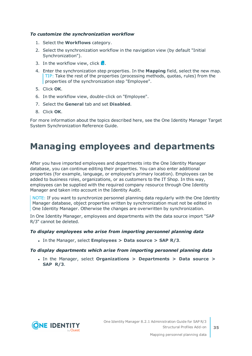### <span id="page-34-1"></span>*To customize the synchronization workflow*

- 1. Select the **Workflows** category.
- 2. Select the synchronization workflow in the navigation view (by default "Initial Synchronization").
- 3. In the workflow view, click  $\frac{1}{2}$ .
- 4. Enter the synchronization step properties. In the **Mapping** field, select the new map. TIP: Take the rest of the properties (processing methods, quotas, rules) from the properties of the synchronization step "Employee".
- 5. Click **OK**.
- 6. In the workflow view, double-click on "Employee".
- 7. Select the **General** tab and set **Disabled**.
- 8. Click **OK**.

For more information about the topics described here, see the One Identity Manager Target System Synchronization Reference Guide.

### <span id="page-34-0"></span>**Managing employees and departments**

After you have imported employees and departments into the One Identity Manager database, you can continue editing their properties. You can also enter additional properties (for example, language, or employee's primary location). Employees can be added to business roles, organizations, or as customers to the IT Shop. In this way, employees can be supplied with the required company resource through One Identity Manager and taken into account in the Identity Audit.

NOTE: If you want to synchronize personnel planning data regularly with the One Identity Manager database, object properties written by synchronization must not be edited in One Identity Manager. Otherwise the changes are overwritten by synchronization.

In One Identity Manager, employees and departments with the data source import "SAP R/3" cannot be deleted.

### *To display employees who arise from importing personnel planning data*

<sup>l</sup> In the Manager, select **Employees > Data source > SAP R/3**.

#### *To display departments which arise from importing personnel planning data*

<sup>l</sup> In the Manager, select **Organizations > Departments > Data source > SAP R/3**.

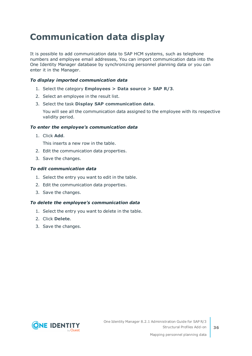## <span id="page-35-0"></span>**Communication data display**

It is possible to add communication data to SAP HCM systems, such as telephone numbers and employee email addresses, You can import communication data into the One Identity Manager database by synchronizing personnel planning data or you can enter it in the Manager.

### *To display imported communication data*

- 1. Select the category **Employees > Data source > SAP R/3**.
- 2. Select an employee in the result list.
- 3. Select the task **Display SAP communication data**.

You will see all the communication data assigned to the employee with its respective validity period.

### *To enter the employee's communication data*

1. Click **Add**.

This inserts a new row in the table.

- 2. Edit the communication data properties.
- 3. Save the changes.

### *To edit communication data*

- 1. Select the entry you want to edit in the table.
- 2. Edit the communication data properties.
- 3. Save the changes.

### *To delete the employee's communication data*

- 1. Select the entry you want to delete in the table.
- 2. Click **Delete**.
- 3. Save the changes.

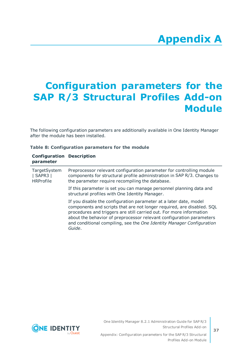# **Appendix A**

# <span id="page-36-0"></span>**Appendix: Configuration parameters for the SAP R/3 Structural Profiles Add-on Module**

The following configuration parameters are additionally available in One Identity Manager after the module has been installed.

| Table 8: Configuration parameters for the module |
|--------------------------------------------------|
|--------------------------------------------------|

| <b>Configuration Description</b><br>parameter     |                                                                                                                                                                                                                                                                                                                                                                               |
|---------------------------------------------------|-------------------------------------------------------------------------------------------------------------------------------------------------------------------------------------------------------------------------------------------------------------------------------------------------------------------------------------------------------------------------------|
| TargetSystem<br>$ $ SAPR3 $ $<br><b>HRProfile</b> | Preprocessor relevant configuration parameter for controlling module<br>components for structural profile administration in SAP R/3. Changes to<br>the parameter require recompiling the database.                                                                                                                                                                            |
|                                                   | If this parameter is set you can manage personnel planning data and<br>structural profiles with One Identity Manager.                                                                                                                                                                                                                                                         |
|                                                   | If you disable the configuration parameter at a later date, model<br>components and scripts that are not longer required, are disabled. SQL<br>procedures and triggers are still carried out. For more information<br>about the behavior of preprocessor relevant configuration parameters<br>and conditional compiling, see the One Identity Manager Configuration<br>Guide. |

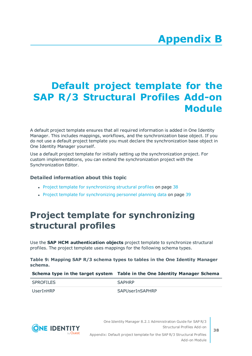# **Appendix B**

# <span id="page-37-0"></span>**Appendix: Default project template for the SAP R/3 Structural Profiles Add-on Module**

A default project template ensures that all required information is added in One Identity Manager. This includes mappings, workflows, and the synchronization base object. If you do not use a default project template you must declare the synchronization base object in One Identity Manager yourself.

Use a default project template for initially setting up the synchronization project. For custom implementations, you can extend the synchronization project with the Synchronization Editor.

### **Detailed information about this topic**

- Project template for [synchronizing](#page-37-1) structural profiles on page 38
- <span id="page-37-1"></span>• Project template for [synchronizing](#page-38-0) personnel planning data on page 39

### **Project template for synchronizing structural profiles**

Use the **SAP HCM authentication objects** project template to synchronize structural profiles. The project template uses mappings for the following schema types.

**Table 9: Mapping SAP R/3 schema types to tables in the One Identity Manager schema.**

#### **Schema type in the target system Table in the One Identity Manager Schema**

| <b>SPROFILES</b> | <b>SAPHRP</b>   |
|------------------|-----------------|
| UserInHRP        | SAPUserInSAPHRP |



One Identity Manager 8.2.1 Administration Guide for SAP R/3 Structural Profiles Add-on

Appendix: Default project template for the SAP R/3 Structural Profiles Add-on Module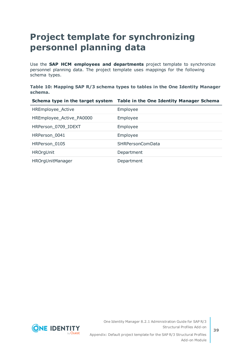## <span id="page-38-0"></span>**Project template for synchronizing personnel planning data**

Use the **SAP HCM employees and departments** project template to synchronize personnel planning data. The project template uses mappings for the following schema types.

**Table 10: Mapping SAP R/3 schema types to tables in the One Identity Manager schema.**

|                          | Schema type in the target system Table in the One Identity Manager Schema |
|--------------------------|---------------------------------------------------------------------------|
| HREmployee_Active        | Employee                                                                  |
| HREmployee_Active_PA0000 | Employee                                                                  |
| HRPerson 0709 IDEXT      | Employee                                                                  |
| HRPerson_0041            | Employee                                                                  |
| HRPerson_0105            | SHRPersonComData                                                          |
| <b>HROrgUnit</b>         | Department                                                                |
| HROrgUnitManager         | Department                                                                |

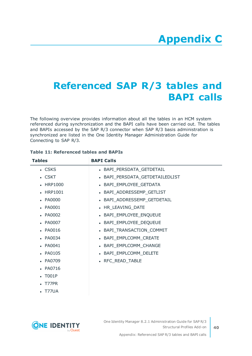## <span id="page-39-0"></span>**Referenced SAP R/3 tables and BAPI calls**

The following overview provides information about all the tables in an HCM system referenced during synchronization and the BAPI calls have been carried out. The tables and BAPIs accessed by the SAP R/3 connector when SAP R/3 basis administration is synchronized are listed in the One Identity Manager Administration Guide for Connecting to SAP R/3.

| <b>Tables</b>  | <b>BAPI Calls</b>             |
|----------------|-------------------------------|
| $\cdot$ CSKS   | • BAPI_PERSDATA_GETDETAIL     |
| . CSKT         | BAPI_PERSDATA_GETDETAILEDLIST |
| • HRP1000      | BAPI_EMPLOYEE_GETDATA         |
| • HRP1001      | • BAPI_ADDRESSEMP_GETLIST     |
| • PA0000       | • BAPI_ADDRESSEMP_GETDETAIL   |
| • PA0001       | • HR_LEAVING_DATE             |
| • PA0002       | BAPI_EMPLOYEE_ENQUEUE         |
| • PA0007       | • BAPI_EMPLOYEE_DEQUEUE       |
| • PA0016       | • BAPI_TRANSACTION_COMMIT     |
| • PA0034       | BAPI_EMPLCOMM_CREATE          |
| $\cdot$ PA0041 | BAPI_EMPLCOMM_CHANGE          |
| • PA0105       | BAPI_EMPLCOMM_DELETE          |
| • PA0709       | • RFC_READ_TABLE              |
| • PA0716       |                               |
| <b>T001P</b>   |                               |
| T77PR          |                               |
| T77UA          |                               |

### **Table 11: Referenced tables and BAPIs**

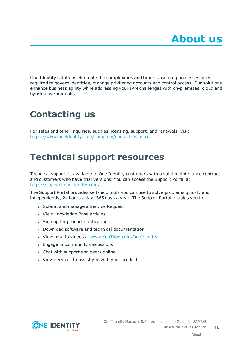<span id="page-40-0"></span>One Identity solutions eliminate the complexities and time-consuming processes often required to govern identities, manage privileged accounts and control access. Our solutions enhance business agility while addressing your IAM challenges with on-premises, cloud and hybrid environments.

## <span id="page-40-1"></span>**Contacting us**

For sales and other inquiries, such as licensing, support, and renewals, visit <https://www.oneidentity.com/company/contact-us.aspx>.

## <span id="page-40-2"></span>**Technical support resources**

Technical support is available to One Identity customers with a valid maintenance contract and customers who have trial versions. You can access the Support Portal at [https://support.oneidentity.com/.](https://support.oneidentity.com/)

The Support Portal provides self-help tools you can use to solve problems quickly and independently, 24 hours a day, 365 days a year. The Support Portal enables you to:

- Submit and manage a Service Request
- View Knowledge Base articles
- Sign up for product notifications
- Download software and technical documentation
- View how-to videos at [www.YouTube.com/OneIdentity](http://www.youtube.com/OneIdentity)
- Engage in community discussions
- Chat with support engineers online
- View services to assist you with your product



About us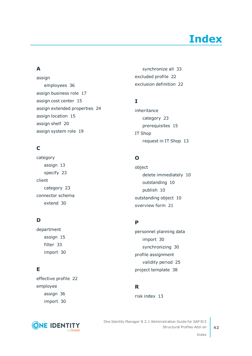# **Index**

### <span id="page-41-0"></span>**A**

assign employees [36](#page-35-0) assign business role [17](#page-16-0) assign cost center [15](#page-14-1) assign extended properties [24](#page-23-0) assign location [15](#page-14-1) assign shelf [20](#page-19-0) assign system role [19](#page-18-0)

### **C**

category assign [13](#page-12-1) specify [23](#page-22-0) client category [23](#page-22-0) connector schema extend [30](#page-29-1)

### **D**

department assign [15](#page-14-1) filter [33](#page-32-0) import [30](#page-29-0)

### **E**

effective profile [22](#page-21-0) employee assign [36](#page-35-0) import [30](#page-29-0)



synchronize all [33](#page-32-0) excluded profile [22](#page-21-0) exclusion definition [22](#page-21-0)

### **I**

inheritance category [23](#page-22-0) prerequisites [15](#page-14-0) IT Shop request in IT Shop [13](#page-12-1)

### **O**

object delete immediately [10](#page-9-0) outstanding [10](#page-9-0) publish [10](#page-9-0) outstanding object [10](#page-9-0) overview form [21](#page-20-1)

### **P**

personnel planning data import [30](#page-29-0) synchronizing [30](#page-29-0) profile assignment validity period [25](#page-24-0) project template [38](#page-37-0)

### **R**

risk index [13](#page-12-1)

One Identity Manager 8.2.1 Administration Guide for SAP R/3 Structural Profiles Add-on

Index